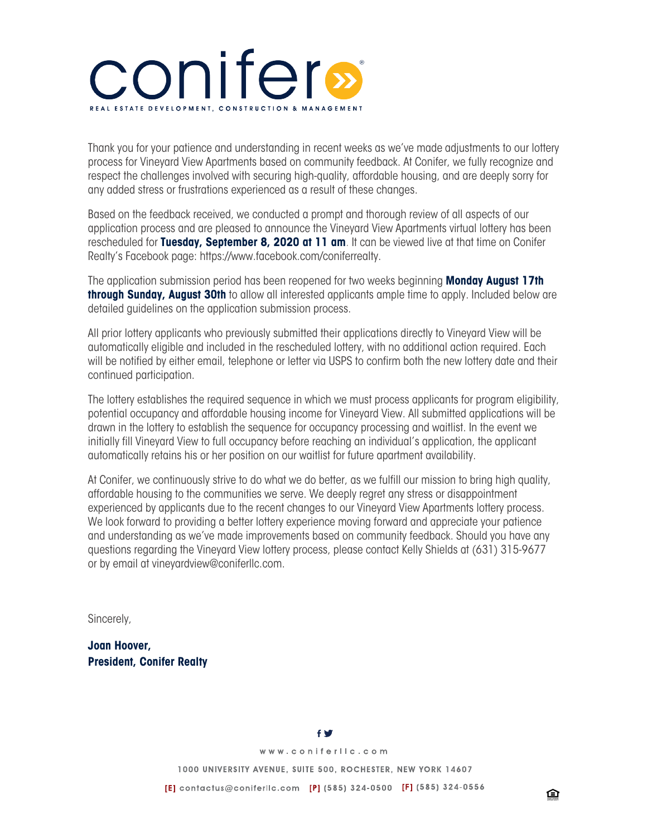# conifers

Thank you for your patience and understanding in recent weeks as we've made adjustments to our lottery process for Vineyard View Apartments based on community feedback. At Conifer, we fully recognize and respect the challenges involved with securing high-quality, affordable housing, and are deeply sorry for any added stress or frustrations experienced as a result of these changes.

Based on the feedback received, we conducted a prompt and thorough review of all aspects of our application process and are pleased to announce the Vineyard View Apartments virtual lottery has been rescheduled for **Tuesday, September 8, 2020 at 11 am**. It can be viewed live at that time on Conifer Realty's Facebook page: https://www.facebook.com/coniferrealty.

The application submission period has been reopened for two weeks beginning **Monday August 17th through Sunday, August 30th** to allow all interested applicants ample time to apply. Included below are detailed guidelines on the application submission process.

All prior lottery applicants who previously submitted their applications directly to Vineyard View will be automatically eligible and included in the rescheduled lottery, with no additional action required. Each will be notified by either email, telephone or letter via USPS to confirm both the new lottery date and their continued participation.

The lottery establishes the required sequence in which we must process applicants for program eligibility, potential occupancy and affordable housing income for Vineyard View. All submitted applications will be drawn in the lottery to establish the sequence for occupancy processing and waitlist. In the event we initially fill Vineyard View to full occupancy before reaching an individual's application, the applicant automatically retains his or her position on our waitlist for future apartment availability.

At Conifer, we continuously strive to do what we do better, as we fulfill our mission to bring high quality, affordable housing to the communities we serve. We deeply regret any stress or disappointment experienced by applicants due to the recent changes to our Vineyard View Apartments lottery process. We look forward to providing a better lottery experience moving forward and appreciate your patience and understanding as we've made improvements based on community feedback. Should you have any questions regarding the Vineyard View lottery process, please contact Kelly Shields at (631) 315-9677 or by email at vineyardview@coniferllc.com.

Sincerely,

**Joan Hoover, President, Conifer Realty**

**f** of

www.coniferllc.com

1000 UNIVERSITY AVENUE, SUITE 500, ROCHESTER, NEW YORK 14607

[E] contactus@coniferllc.com [P] (585) 324-0500 [F] (585) 324-0556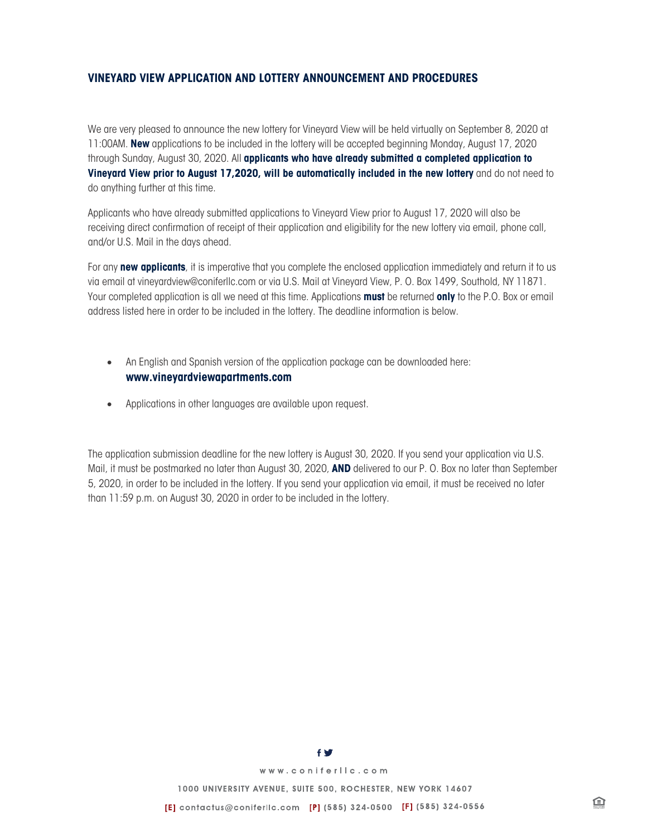## **VINEYARD VIEW APPLICATION AND LOTTERY ANNOUNCEMENT AND PROCEDURES**

We are very pleased to announce the new lottery for Vineyard View will be held virtually on September 8, 2020 at 11:00AM. **New** applications to be included in the lottery will be accepted beginning Monday, August 17, 2020 through Sunday, August 30, 2020. All **applicants who have already submitted a completed application to Vineyard View prior to August 17,2020, will be automatically included in the new lottery** and do not need to do anything further at this time.

Applicants who have already submitted applications to Vineyard View prior to August 17, 2020 will also be receiving direct confirmation of receipt of their application and eligibility for the new lottery via email, phone call, and/or U.S. Mail in the days ahead.

For any **new applicants**, it is imperative that you complete the enclosed application immediately and return it to us via email at vineyardview@coniferllc.com or via U.S. Mail at Vineyard View, P. O. Box 1499, Southold, NY 11871. Your completed application is all we need at this time. Applications **must** be returned **only** to the P.O. Box or email address listed here in order to be included in the lottery. The deadline information is below.

- An English and Spanish version of the application package can be downloaded here: **www.vineyardviewapartments.com**
- Applications in other languages are available upon request.

The application submission deadline for the new lottery is August 30, 2020. If you send your application via U.S. Mail, it must be postmarked no later than August 30, 2020, **AND** delivered to our P. O. Box no later than September 5, 2020, in order to be included in the lottery. If you send your application via email, it must be received no later than 11:59 p.m. on August 30, 2020 in order to be included in the lottery.



www.coniferlic.com

1000 UNIVERSITY AVENUE, SUITE 500, ROCHESTER, NEW YORK 14607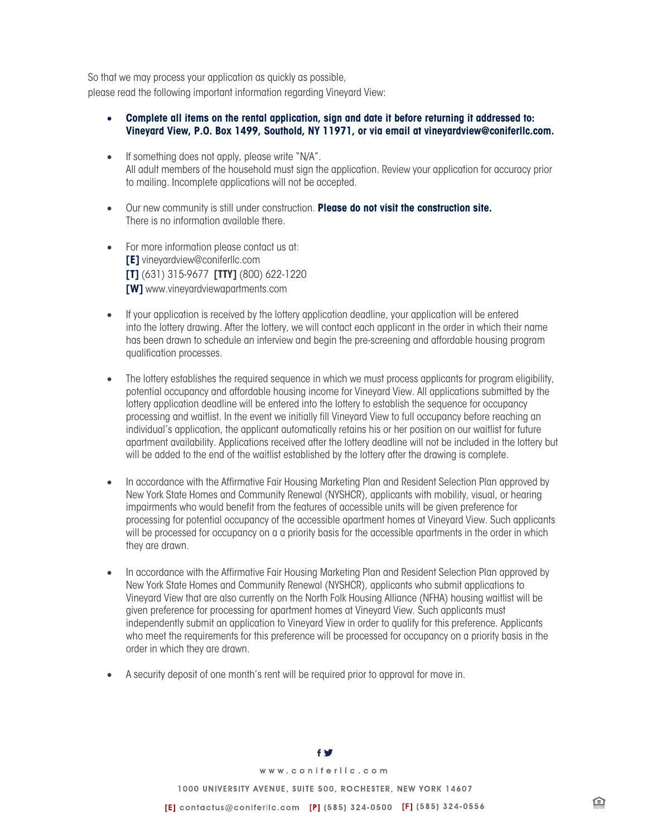So that we may process your application as quickly as possible, please read the following important information regarding Vineyard View:

- **Complete all items on the rental application, sign and date it before returning it addressed to: Vineyard View, P.O. Box 1499, Southold, NY 11971, or via email at vineyardview@coniferllc.com.**
- If something does not apply, please write "N/A". All adult members of the household must sign the application. Review your application for accuracy prior to mailing. Incomplete applications will not be accepted.
- Our new community is still under construction. **Please do not visit the construction site.** There is no information available there.
- For more information please contact us at: **[E]** vineyardview@coniferllc.com **[T]** (631) 315-9677 **[TTY]** (800) 622-1220 **[W]** www.vineyardviewapartments.com
- If your application is received by the lottery application deadline, your application will be entered into the lottery drawing. After the lottery, we will contact each applicant in the order in which their name has been drawn to schedule an interview and begin the pre-screening and affordable housing program qualification processes.
- The lottery establishes the required sequence in which we must process applicants for program eligibility, potential occupancy and affordable housing income for Vineyard View. All applications submitted by the lottery application deadline will be entered into the lottery to establish the sequence for occupancy processing and waitlist. In the event we initially fill Vineyard View to full occupancy before reaching an individual's application, the applicant automatically retains his or her position on our waitlist for future apartment availability. Applications received after the lottery deadline will not be included in the lottery but will be added to the end of the waitlist established by the lottery after the drawing is complete.
- In accordance with the Affirmative Fair Housing Marketing Plan and Resident Selection Plan approved by New York State Homes and Community Renewal (NYSHCR), applicants with mobility, visual, or hearing impairments who would benefit from the features of accessible units will be given preference for processing for potential occupancy of the accessible apartment homes at Vineyard View. Such applicants will be processed for occupancy on a a priority basis for the accessible apartments in the order in which they are drawn.
- In accordance with the Affirmative Fair Housing Marketing Plan and Resident Selection Plan approved by New York State Homes and Community Renewal (NYSHCR), applicants who submit applications to Vineyard View that are also currently on the North Folk Housing Alliance (NFHA) housing waitlist will be given preference for processing for apartment homes at Vineyard View. Such applicants must independently submit an application to Vineyard View in order to qualify for this preference. Applicants who meet the requirements for this preference will be processed for occupancy on a priority basis in the order in which they are drawn.
- A security deposit of one month's rent will be required prior to approval for move in.

# www.coniferlic.com 1000 UNIVERSITY AVENUE, SUITE 500, ROCHESTER, NEW YORK 14607 [E] contactus@coniferllc.com [P] (585) 324-0500 [F] (585) 324-0556

鱼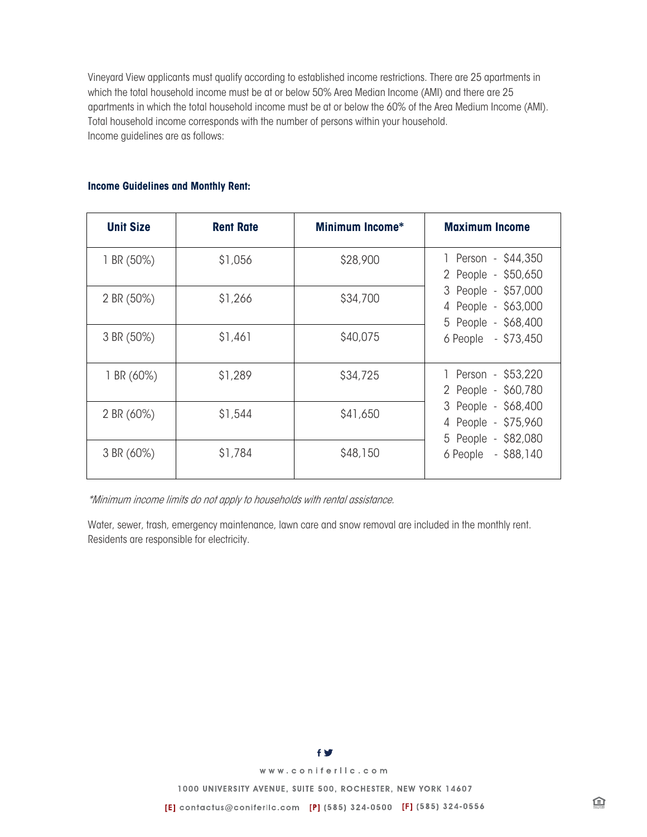Vineyard View applicants must qualify according to established income restrictions. There are 25 apartments in which the total household income must be at or below 50% Area Median Income (AMI) and there are 25 apartments in which the total household income must be at or below the 60% of the Area Medium Income (AMI). Total household income corresponds with the number of persons within your household. Income guidelines are as follows:

### **Income Guidelines and Monthly Rent:**

| <b>Unit Size</b> | <b>Rent Rate</b> | <b>Minimum Income*</b> | <b>Maximum Income</b>                                                                                                                  |
|------------------|------------------|------------------------|----------------------------------------------------------------------------------------------------------------------------------------|
| 1 BR $(50%)$     | \$1,056          | \$28,900               | 1 Person - \$44,350<br>2 People - \$50,650<br>3 People - \$57,000<br>4 People - \$63,000<br>5 People - \$68,400<br>6 People - \$73,450 |
| 2 BR (50%)       | \$1,266          | \$34,700               |                                                                                                                                        |
| 3 BR (50%)       | \$1,461          | \$40,075               |                                                                                                                                        |
| 1 BR $(60%)$     | \$1,289          | \$34,725               | 1 Person - \$53,220<br>2 People - \$60,780<br>3 People - \$68,400<br>4 People - \$75,960<br>5 People - \$82,080<br>6 People - \$88,140 |
| 2 BR (60%)       | \$1,544          | \$41,650               |                                                                                                                                        |
| 3 BR (60%)       | \$1,784          | \$48,150               |                                                                                                                                        |

\*Minimum income limits do not apply to households with rental assistance.

Water, sewer, trash, emergency maintenance, lawn care and snow removal are included in the monthly rent. Residents are responsible for electricity.

**f V** 

www.coniferlic.com

1000 UNIVERSITY AVENUE, SUITE 500, ROCHESTER, NEW YORK 14607